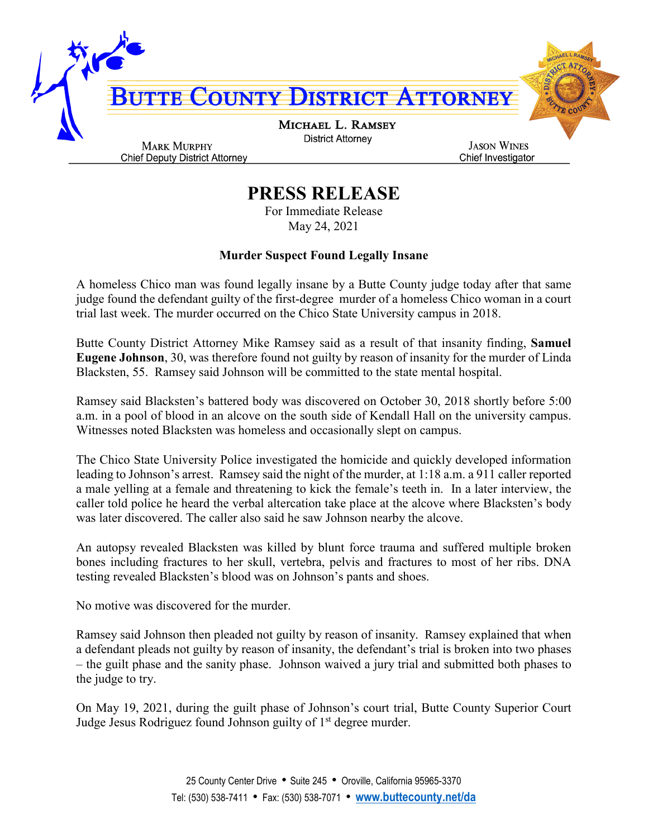

## **PRESS RELEASE**

For Immediate Release May 24, 2021

## **Murder Suspect Found Legally Insane**

A homeless Chico man was found legally insane by a Butte County judge today after that same judge found the defendant guilty of the first-degree murder of a homeless Chico woman in a court trial last week. The murder occurred on the Chico State University campus in 2018.

Butte County District Attorney Mike Ramsey said as a result of that insanity finding, **Samuel Eugene Johnson**, 30, was therefore found not guilty by reason of insanity for the murder of Linda Blacksten, 55. Ramsey said Johnson will be committed to the state mental hospital.

Ramsey said Blacksten's battered body was discovered on October 30, 2018 shortly before 5:00 a.m. in a pool of blood in an alcove on the south side of Kendall Hall on the university campus. Witnesses noted Blacksten was homeless and occasionally slept on campus.

The Chico State University Police investigated the homicide and quickly developed information leading to Johnson's arrest. Ramsey said the night of the murder, at 1:18 a.m. a 911 caller reported a male yelling at a female and threatening to kick the female's teeth in. In a later interview, the caller told police he heard the verbal altercation take place at the alcove where Blacksten's body was later discovered. The caller also said he saw Johnson nearby the alcove.

An autopsy revealed Blacksten was killed by blunt force trauma and suffered multiple broken bones including fractures to her skull, vertebra, pelvis and fractures to most of her ribs. DNA testing revealed Blacksten's blood was on Johnson's pants and shoes.

No motive was discovered for the murder.

Ramsey said Johnson then pleaded not guilty by reason of insanity. Ramsey explained that when a defendant pleads not guilty by reason of insanity, the defendant's trial is broken into two phases – the guilt phase and the sanity phase. Johnson waived a jury trial and submitted both phases to the judge to try.

On May 19, 2021, during the guilt phase of Johnson's court trial, Butte County Superior Court Judge Jesus Rodriguez found Johnson guilty of 1<sup>st</sup> degree murder.